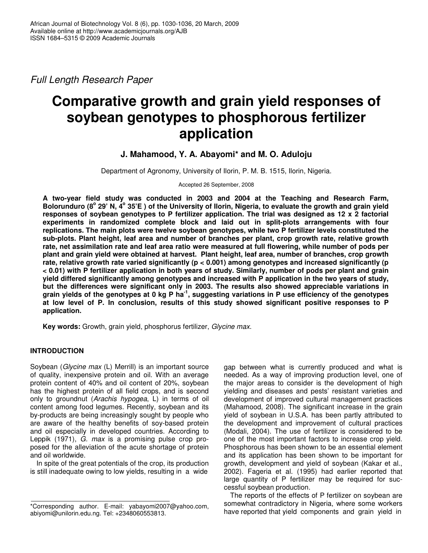*Full Length Research Paper*

# **Comparative growth and grain yield responses of soybean genotypes to phosphorous fertilizer application**

# **J. Mahamood, Y. A. Abayomi\* and M. O. Aduloju**

Department of Agronomy, University of Ilorin, P. M. B. 1515, Ilorin, Nigeria.

Accepted 26 September, 2008

**A two-year field study was conducted in 2003 and 2004 at the Teaching and Research Farm,** Bolorunduro (8° 29' N, 4° 35'E) of the University of Ilorin, Nigeria, to evaluate the growth and grain yield **responses of soybean genotypes to P fertilizer application. The trial was designed as 12 x 2 factorial experiments in randomized complete block and laid out in split-plots arrangements with four replications. The main plots were twelve soybean genotypes, while two P fertilizer levels constituted the sub-plots. Plant height, leaf area and number of branches per plant, crop growth rate, relative growth** rate, net assimilation rate and leaf area ratio were measured at full flowering, while number of pods per **plant and grain yield were obtained at harvest. Plant height, leaf area, number of branches, crop growth rate, relative growth rate varied significantly (p < 0.001) among genotypes and increased significantly (p** < 0.01) with P fertilizer application in both years of study. Similarly, number of pods per plant and grain **yield differed significantly among genotypes and increased with P application in the two years of study, but the differences were significant only in 2003. The results also showed appreciable variations in** grain yields of the genotypes at 0 kg P ha<sup>-1</sup>, suggesting variations in P use efficiency of the genotypes **at low level of P. In conclusion, results of this study showed significant positive responses to P application.**

**Key words:** Growth, grain yield, phosphorus fertilizer, *Glycine max*.

# **INTRODUCTION**

Soybean (*Glycine max* (L) Merrill) is an important source of quality, inexpensive protein and oil. With an average protein content of 40% and oil content of 20%, soybean has the highest protein of all field crops, and is second only to groundnut (*Arachis hypogea*, L) in terms of oil content among food legumes. Recently, soybean and its by-products are being increasingly sought by people who are aware of the healthy benefits of soy-based protein and oil especially in developed countries. According to Leppik (1971), *G. max* is a promising pulse crop proposed for the alleviation of the acute shortage of protein and oil worldwide.

In spite of the great potentials of the crop, its production is still inadequate owing to low yields, resulting in a wide

gap between what is currently produced and what is needed. As a way of improving production level, one of the major areas to consider is the development of high yielding and diseases and pests' resistant varieties and development of improved cultural management practices (Mahamood, 2008). The significant increase in the grain yield of soybean in U.S.A. has been partly attributed to the development and improvement of cultural practices (Modali, 2004). The use of fertilizer is considered to be one of the most important factors to increase crop yield. Phosphorous has been shown to be an essential element and its application has been shown to be important for growth, development and yield of soybean (Kakar et al., 2002). Fageria et al. (1995) had earlier reported that large quantity of P fertilizer may be required for successful soybean production.

The reports of the effects of P fertilizer on soybean are somewhat contradictory in Nigeria, where some workers have reported that yield components and grain yield in

<sup>\*</sup>Corresponding author. E-mail: yabayomi2007@yahoo.com, abiyomi@unilorin.edu.ng. Tel: +2348060553813.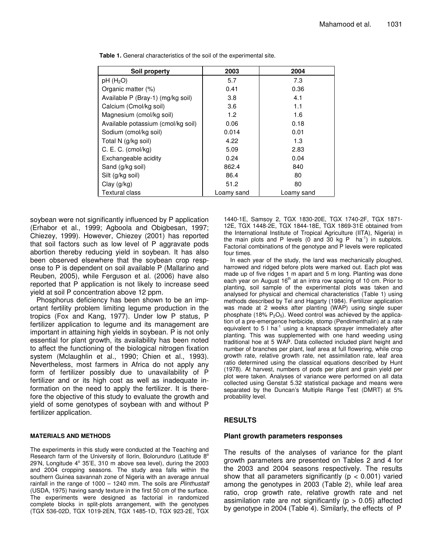| Soil property                      | 2003       | 2004       |
|------------------------------------|------------|------------|
| $pH$ (H <sub>2</sub> O)            | 5.7        | 7.3        |
| Organic matter (%)                 | 0.41       | 0.36       |
| Available P (Bray-1) (mg/kg soil)  | 3.8        | 4.1        |
| Calcium (Cmol/kg soil)             | 3.6        | 1.1        |
| Magnesium (cmol/kg soil)           | 1.2        | 1.6        |
| Available potassium (cmol/kg soil) | 0.06       | 0.18       |
| Sodium (cmol/kg soil)              | 0.014      | 0.01       |
| Total N (g/kg soil)                | 4.22       | 1.3        |
| C. E. C. (cmol/kg)                 | 5.09       | 2.83       |
| Exchangeable acidity               | 0.24       | 0.04       |
| Sand (g/kg soil)                   | 862.4      | 840        |
| Silt (g/kg soil)                   | 86.4       | 80         |
| Clay $(g/kg)$                      | 51.2       | 80         |
| <b>Textural class</b>              | Loamy sand | Loamv sand |

**Table 1.** General characteristics of the soil of the experimental site.

soybean were not significantly influenced by P application (Erhabor et al., 1999; Agboola and Obigbesan, 1997; Chiezey, 1999). However, Chiezey (2001) has reported that soil factors such as low level of P aggravate pods abortion thereby reducing yield in soybean. It has also been observed elsewhere that the soybean crop response to P is dependent on soil available P (Mallarino and Reuben, 2005), while Ferguson et al. (2006) have also reported that P application is not likely to increase seed yield at soil P concentration above 12 ppm.

Phosphorus deficiency has been shown to be an important fertility problem limiting legume production in the tropics (Fox and Kang, 1977). Under low P status, P fertilizer application to legume and its management are important in attaining high yields in soybean. P is not only essential for plant growth, its availability has been noted to affect the functioning of the biological nitrogen fixation system (Mclaughlin et al., 1990; Chien et al., 1993). Nevertheless, most farmers in Africa do not apply any form of fertilizer possibly due to unavailability of P fertilizer and or its high cost as well as inadequate information on the need to apply the fertilizer. It is therefore the objective of this study to evaluate the growth and yield of some genotypes of soybean with and without P fertilizer application.

#### **MATERIALS AND METHODS**

The experiments in this study were conducted at the Teaching and Research farm of the University of Ilorin, Bolorunduro (Latitude 8° 29'N, Longitude 4° 35'E, 310 m above sea level), during the 2003 and 2004 cropping seasons. The study area falls within the southern Guinea savannah zone of Nigeria with an average annual rainfall in the range of 1000 – 1240 mm. The soils are *Plinthustalf* (USDA, 1975) having sandy texture in the first 50 cm of the surface. The experiments were designed as factorial in randomized complete blocks in split-plots arrangement, with the genotypes (TGX 536-02D, TGX 1019-2EN, TGX 1485-1D, TGX 923-2E, TGX

1440-1E, Samsoy 2, TGX 1830-20E, TGX 1740-2F, TGX 1871- 12E, TGX 1448-2E, TGX 1844-18E, TGX 1869-31E obtained from the International Institute of Tropical Agriculture (IITA), Nigeria) in the main plots and P levels (0 and 30 kg P  $ha^{-1}$ ) in subplots. Factorial combinations of the genotype and P levels were replicated four times.

In each year of the study, the land was mechanically ploughed, harrowed and ridged before plots were marked out. Each plot was made up of five ridges 1 m apart and 5 m long. Planting was done each year on August 16<sup>th</sup> at an intra row spacing of 10 cm. Prior to planting, soil sample of the experimental plots was taken and analysed for physical and chemical characteristics (Table 1) using methods described by Tel and Hagarty (1984). Fertilizer application was made at 2 weeks after planting (WAP) using single super phosphate (18%  $P_2O_5$ ). Weed control was achieved by the application of a pre-emergence herbicide, stomp (Pendimenthalin) at a rate equivalent to 5 I ha<sup>-1</sup> using a knapsack sprayer immediately after planting. This was supplemented with one hand weeding using traditional hoe at 5 WAP. Data collected included plant height and number of branches per plant, leaf area at full flowering, while crop growth rate, relative growth rate, net assimilation rate, leaf area ratio determined using the classical equations described by Hunt (1978). At harvest, numbers of pods per plant and grain yield per plot were taken. Analyses of variance were performed on all data collected using Genstat 5.32 statistical package and means were separated by the Duncan's Multiple Range Test (DMRT) at 5% probability level.

#### **RESULTS**

#### **Plant growth parameters responses**

The results of the analyses of variance for the plant growth parameters are presented on Tables 2 and 4 for the 2003 and 2004 seasons respectively. The results show that all parameters significantly ( $p < 0.001$ ) varied among the genotypes in 2003 (Table 2), while leaf area ratio, crop growth rate, relative growth rate and net assimilation rate are not significantly ( $p > 0.05$ ) affected by genotype in 2004 (Table 4). Similarly, the effects of P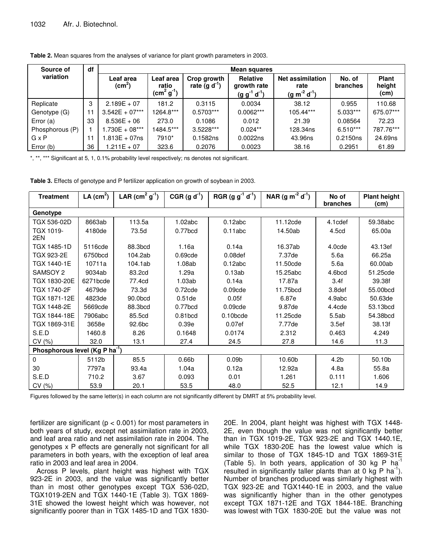|  | Table 2. Mean squares from the analyses of variance for plant growth parameters in 2003. |
|--|------------------------------------------------------------------------------------------|
|  |                                                                                          |

| Source of       | df | <b>Mean squares</b>            |                                   |                               |                                                       |                                                  |                           |                                |  |
|-----------------|----|--------------------------------|-----------------------------------|-------------------------------|-------------------------------------------------------|--------------------------------------------------|---------------------------|--------------------------------|--|
| variation       |    | Leaf area<br>$\textsf{(cm}^2)$ | Leaf area<br>ratio<br>$(cm2 g-1)$ | Crop growth<br>rate $(g d-1)$ | <b>Relative</b><br>growth rate<br>$(g g^{-1} d^{-1})$ | <b>Net assimilation</b><br>rate<br>$(g m-2 d-1)$ | No. of<br><b>branches</b> | <b>Plant</b><br>height<br>(cm) |  |
| Replicate       | 3  | $2.189E + 07$                  | 181.2                             | 0.3115                        | 0.0034                                                | 38.12                                            | 0.955                     | 110.68                         |  |
| Genotype (G)    | 11 | $3.542E + 07***$               | 1264.8***                         | $0.5703***$                   | $0.0062***$                                           | 105.44***                                        | $5.033***$                | 675.07***                      |  |
| Error (a)       | 33 | $8.536E + 06$                  | 273.0                             | 0.1086                        | 0.012                                                 | 21.39                                            | 0.08564                   | 72.23                          |  |
| Phosphorous (P) |    | $1.730E + 08***$               | 1484.5***                         | 3.5228***                     | $0.024**$                                             | 128.34ns                                         | $6.510***$                | 787.76***                      |  |
| $G \times P$    | 11 | 1.813E + 07ns                  | 7910*                             | 0.1582ns                      | 0.0022ns                                              | 43.96ns                                          | 0.2150ns                  | 24.69ns                        |  |
| Error (b)       | 36 | $1.211E + 07$                  | 323.6                             | 0.2076                        | 0.0023                                                | 38.16                                            | 0.2951                    | 61.89                          |  |

\*, \*\*, \*\*\* Significant at 5, 1, 0.1% probability level respectively; ns denotes not significant.

**Table 3.** Effects of genotype and P fertilizer application on growth of soybean in 2003.

| <b>Treatment</b>                           | LA $(cm^2)$ | LAR $(cm2 g-1)$ | $CGR (g d-1)$       | RGR (g $g^{-1} d^{-1}$ ) | NAR (g $m^{-2} d^{-1}$ ) | No of<br>branches | <b>Plant height</b><br>(cm) |  |
|--------------------------------------------|-------------|-----------------|---------------------|--------------------------|--------------------------|-------------------|-----------------------------|--|
| Genotype                                   |             |                 |                     |                          |                          |                   |                             |  |
| TGX 536-02D                                | 8663ab      | 113.5a          | 1.02abc             | 0.12abc                  | 11.12cde                 | 4.1cdef           | 59.38abc                    |  |
| TGX 1019-<br>2EN                           | 4180de      | 73.5d           | 0.77bcd             | 0.11abc                  | 14.50ab                  | 4.5cd             | 65.00a                      |  |
| TGX 1485-1D                                | 5116cde     | 88.3bcd         | 1.16a               | 0.14a                    | 16.37ab                  | 4.0cde            | 43.13ef                     |  |
| TGX 923-2E                                 | 6750bcd     | 104.2ab         | 0.69cde             | 0.08 <sub>def</sub>      | 7.37de                   | 5.6a              | 66.25a                      |  |
| TGX 1440-1E                                | 10711a      | 104.1ab         | 1.08ab              | 0.12abc                  | 11.50cde                 | 5.6a              | 60.00ab                     |  |
| SAMSOY 2                                   | 9034ab      | 83.2cd          | 1.29a               | 0.13ab                   | 15.25abc                 | 4.6bcd            | 51.25cde                    |  |
| TGX 1830-20E                               | 6271bcde    | 77.4cd          | 1.03ab              | 0.14a                    | 17.87a                   | 3.4f              | 39.38f                      |  |
| TGX 1740-2F                                | 4679de      | 73.3d           | $0.72$ cde          | 0.09cde                  | 11.75bcd                 | 3.8def            | 55.00bcd                    |  |
| TGX 1871-12E                               | 4823de      | 90.0bcd         | 0.51 <sub>de</sub>  | 0.05f                    | 6.87e                    | 4.9abc            | 50.63de                     |  |
| TGX 1448-2E                                | 5669cde     | 88.3bcd         | $0.77$ bcd          | 0.09cde                  | 9.87de                   | 4.4cde            | 53.13bcd                    |  |
| TGX 1844-18E                               | 7906abc     | 85.5cd          | 0.81 <sub>bcd</sub> | $0.10$ <sub>bcde</sub>   | 11.25cde                 | 5.5ab             | 54.38bcd                    |  |
| TGX 1869-31E                               | 3658e       | 92.6bc          | 0.39e               | 0.07 <sub>ef</sub>       | 7.77de                   | 3.5 <sub>ef</sub> | 38.13f                      |  |
| S.E.D                                      | 1460.8      | 8.26            | 0.1648              | 0.0174                   | 2.312                    | 0.463             | 4.249                       |  |
| CV(%)                                      | 32.0        | 13.1            | 27.4                | 24.5                     | 27.8                     | 14.6              | 11.3                        |  |
| Phosphorous level (Kg P ha <sup>-1</sup> ) |             |                 |                     |                          |                          |                   |                             |  |
| $\mathbf{0}$                               | 5112b       | 85.5            | 0.66 <sub>b</sub>   | 0.09 <sub>b</sub>        | 10.60b                   | 4.2 <sub>b</sub>  | 50.10b                      |  |
| 30                                         | 7797a       | 93.4a           | 1.04a               | 0.12a                    | 12.92a                   | 4.8a              | 55.8a                       |  |
| S.E.D                                      | 710.2       | 3.67            | 0.093               | 0.01                     | 1.261                    | 0.111             | 1.606                       |  |
| CV (%)                                     | 53.9        | 20.1            | 53.5                | 48.0                     | 52.5                     | 12.1              | 14.9                        |  |

Figures followed by the same letter(s) in each column are not significantly different by DMRT at 5% probability level.

fertilizer are significant ( $p < 0.001$ ) for most parameters in both years of study, except net assimilation rate in 2003, and leaf area ratio and net assimilation rate in 2004. The genotypes x P effects are generally not significant for all parameters in both years, with the exception of leaf area ratio in 2003 and leaf area in 2004.

Across P levels, plant height was highest with TGX 923-2E in 2003, and the value was significantly better than in most other genotypes except TGX 536-02D, TGX1019-2EN and TGX 1440-1E (Table 3). TGX 1869- 31E showed the lowest height which was however, not significantly poorer than in TGX 1485-1D and TGX 1830-

20E. In 2004, plant height was highest with TGX 1448- 2E, even though the value was not significantly better than in TGX 1019-2E, TGX 923-2E and TGX 1440.1E, while TGX 1830-20E has the lowest value which is similar to those of TGX 1845-1D and TGX 1869-31E (Table 5). In both years, application of 30 kg P  $ha^{-1}$ resulted in significantly taller plants than at  $0 \text{ kg } P$  ha<sup>-1</sup>). Number of branches produced was similarly highest with TGX 923-2E and TGX1440-1E in 2003, and the value was significantly higher than in the other genotypes except TGX 1871-12E and TGX 1844-18E. Branching was lowest with TGX 1830-20E but the value was not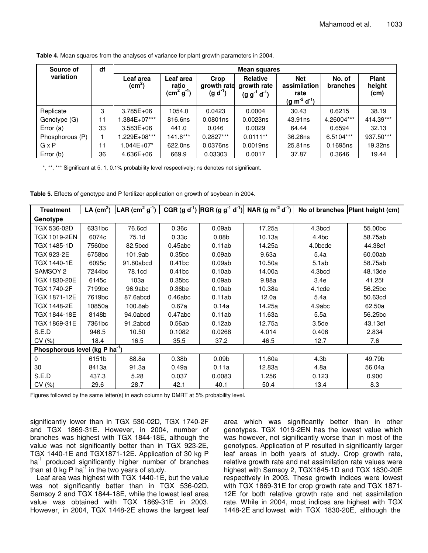| df<br>Source of<br>Mean squares |    |                                 |                                   |                                     |                                                       |                                                           |                           |                                |
|---------------------------------|----|---------------------------------|-----------------------------------|-------------------------------------|-------------------------------------------------------|-----------------------------------------------------------|---------------------------|--------------------------------|
| variation                       |    | Leaf area<br>(cm <sup>2</sup> ) | Leaf area<br>ratio<br>$(cm2 g-1)$ | Crop<br>growth rate<br>$(g d^{-1})$ | <b>Relative</b><br>growth rate<br>$(g g^{-1} d^{-1})$ | <b>Net</b><br>assimilation<br>rate<br>$(g m^{-2} d^{-1})$ | No. of<br><b>branches</b> | <b>Plant</b><br>height<br>(cm) |
| Replicate                       | 3  | 3.785E+06                       | 1054.0                            | 0.0423                              | 0.0004                                                | 30.43                                                     | 0.6215                    | 38.19                          |
| Genotype (G)                    | 11 | $.384E+07***$                   | 816.6ns                           | $0.0801$ ns                         | 0.0023ns                                              | 43.91ns                                                   | 4.26004***                | 414.39***                      |
| Error $(a)$                     | 33 | $3.583E + 06$                   | 441.0                             | 0.046                               | 0.0029                                                | 64.44                                                     | 0.6594                    | 32.13                          |
| Phosphorous (P)                 |    | .229E+08***                     | $141.6***$                        | $0.2827***$                         | $0.0111**$                                            | 36.26ns                                                   | $6.5104***$               | 937.50***                      |
| GxP                             | 11 | 1.044E+07*                      | 622.0ns                           | 0.0376ns                            | 0.0019ns                                              | 25.81ns                                                   | 0.1695ns                  | 19.32ns                        |
| Error (b)                       | 36 | 4.636E+06                       | 669.9                             | 0.03303                             | 0.0017                                                | 37.87                                                     | 0.3646                    | 19.44                          |

**Table 4.** Mean squares from the analyses of variance for plant growth parameters in 2004.

\*, \*\*, \*\*\* Significant at 5, 1, 0.1% probability level respectively; ns denotes not significant.

| <b>Treatment</b>                           | LA $(cm2)$         | LAR (cm <sup>2</sup> g <sup>-1</sup> ) |                    |                   | CGR (g d <sup>-1</sup> ) $ RGR (g g^{-1} d^{-1}) $ NAR (g m <sup>-2</sup> d <sup>-1</sup> ) |                   | No of branches Plant height (cm) |  |  |
|--------------------------------------------|--------------------|----------------------------------------|--------------------|-------------------|---------------------------------------------------------------------------------------------|-------------------|----------------------------------|--|--|
| Genotype                                   |                    |                                        |                    |                   |                                                                                             |                   |                                  |  |  |
| TGX 536-02D                                | 6331bc             | 76.6cd                                 | 0.36c              | 0.09ab            | 17.25a                                                                                      | 4.3bcd            | 55.00bc                          |  |  |
| <b>TGX 1019-2EN</b>                        | 6074c              | 75.1d                                  | 0.33c              | 0.08 <sub>b</sub> | 10.13a                                                                                      | 4.4bc             | 58.75ab                          |  |  |
| <b>TGX 1485-1D</b>                         | 7560 <sub>bc</sub> | 82.5bcd                                | 0.45abc            | 0.11ab            | 14.25a                                                                                      | 4.0bcde           | 44.38ef                          |  |  |
| TGX 923-2E                                 | 6758 <sub>bc</sub> | 101.9ab                                | 0.35 <sub>bc</sub> | 0.09ab            | 9.63a                                                                                       | 5.4a              | 60.00ab                          |  |  |
| TGX 1440-1E                                | 6095c              | 91.80abcd                              | 0.41 <sub>bc</sub> | 0.09ab            | 10.50a                                                                                      | 5.1ab             | 58.75ab                          |  |  |
| SAMSOY 2                                   | 7244bc             | 78.1cd                                 | 0.41 <sub>bc</sub> | 0.10ab            | 14.00a                                                                                      | 4.3bcd            | 48.13de                          |  |  |
| TGX 1830-20E                               | 6145c              | 103a                                   | 0.35 <sub>bc</sub> | 0.09ab            | 9.88a                                                                                       | 3.4e              | 41.25f                           |  |  |
| TGX 1740-2F                                | 7199 <sub>bc</sub> | 96.9abc                                | 0.36 <sub>be</sub> | 0.10ab            | 10.38a                                                                                      | $4.1$ cde         | 56.25bc                          |  |  |
| TGX 1871-12E                               | 7619bc             | 87.6abcd                               | 0.46abc            | 0.11ab            | 12.0a                                                                                       | 5.4a              | 50.63cd                          |  |  |
| TGX 1448-2E                                | 10850a             | 100.8ab                                | 0.67a              | 0.14a             | 14.25a                                                                                      | 4.9abc            | 62.50a                           |  |  |
| TGX 1844-18E                               | 8148b              | 94.0abcd                               | 0.47abc            | 0.11ab            | 11.63a                                                                                      | 5.5a              | 56.25bc                          |  |  |
| TGX 1869-31E                               | 7361bc             | 91.2abcd                               | 0.56ab             | 0.12ab            | 12.75a                                                                                      | 3.5 <sub>de</sub> | 43.13ef                          |  |  |
| S.E.D                                      | 946.5              | 10.50                                  | 0.1082             | 0.0268            | 4.014                                                                                       | 0.406             | 2.834                            |  |  |
| CV(%)                                      | 18.4               | 16.5                                   | 35.5               | 37.2              | 46.5                                                                                        | 12.7              | 7.6                              |  |  |
| Phosphorous level (kg P ha <sup>-1</sup> ) |                    |                                        |                    |                   |                                                                                             |                   |                                  |  |  |
| $\Omega$                                   | 6151b              | 88.8a                                  | 0.38 <sub>b</sub>  | 0.09 <sub>b</sub> | 11.60a                                                                                      | 4.3 <sub>b</sub>  | 49.79b                           |  |  |
| 30                                         | 8413a              | 91.3a                                  | 0.49a              | 0.11a             | 12.83a                                                                                      | 4.8a              | 56.04a                           |  |  |
| S.E.D                                      | 437.3              | 5.28                                   | 0.037              | 0.0083            | 1.256                                                                                       | 0.123             | 0.900                            |  |  |
| CV(%)                                      | 29.6               | 28.7                                   | 42.1               | 40.1              | 50.4                                                                                        | 13.4              | 8.3                              |  |  |

Figures followed by the same letter(s) in each column by DMRT at 5% probability level.

significantly lower than in TGX 530-02D, TGX 1740-2F and TGX 1869-31E. However, in 2004, number of branches was highest with TGX 1844-18E, although the value was not significantly better than in TGX 923-2E, TGX 1440-1E and TGX1871-12E. Application of 30 kg P ha<sup>-1</sup> produced significantly higher number of branches than at 0 kg P ha $^{-1}$  in the two years of study.

Leaf area was highest with TGX 1440-1E, but the value was not significantly better than in TGX 536-02D, Samsoy 2 and TGX 1844-18E, while the lowest leaf area value was obtained with TGX 1869-31E in 2003. However, in 2004, TGX 1448-2E shows the largest leaf

area which was significantly better than in other genotypes. TGX 1019-2EN has the lowest value which was however, not significantly worse than in most of the genotypes. Application of P resulted in significantly larger leaf areas in both years of study. Crop growth rate, relative growth rate and net assimilation rate values were highest with Samsoy 2, TGX1845-1D and TGX 1830-20E respectively in 2003. These growth indices were lowest with TGX 1869-31E for crop growth rate and TGX 1871- 12E for both relative growth rate and net assimilation rate. While in 2004, most indices are highest with TGX 1448-2E and lowest with TGX 1830-20E, although the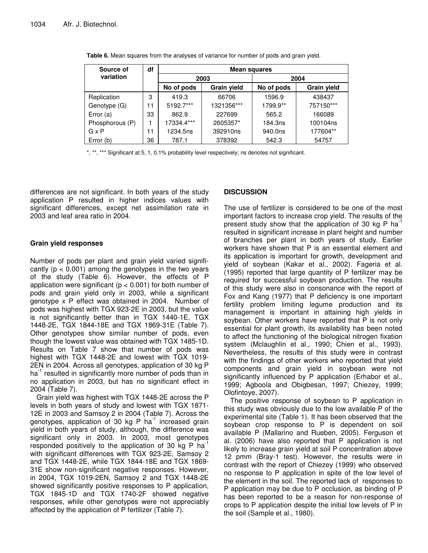| Source of       | df | <b>Mean squares</b>       |            |            |                    |  |  |  |
|-----------------|----|---------------------------|------------|------------|--------------------|--|--|--|
| variation       |    | 2003                      |            | 2004       |                    |  |  |  |
|                 |    | No of pods<br>Grain yield |            | No of pods | <b>Grain yield</b> |  |  |  |
| Replication     | 3  | 419.3                     | 66706      | 1596.9     | 438437             |  |  |  |
| Genotype (G)    | 11 | 5192.7***                 | 1321356*** | 1799.9**   | 757150***          |  |  |  |
| Error (a)       | 33 | 862.9                     | 227699     | 565.2      | 166089             |  |  |  |
| Phosphorous (P) |    | 17334.4***                | 2605357*   | 184.3ns    | 100104ns           |  |  |  |
| $G \times P$    | 11 | 1234.5ns                  | 392910ns   | 940.0ns    | 177604**           |  |  |  |
| Error (b)       | 36 | 787.1                     | 378392     | 542.3      | 54757              |  |  |  |

**Table 6.** Mean squares from the analyses of variance for number of pods and grain yield.

\*, \*\*, \*\*\* Significant at 5, 1, 0.1% probability level respectively; ns denotes not significant.

differences are not significant. In both years of the study application P resulted in higher indices values with significant differences, except net assimilation rate in 2003 and leaf area ratio in 2004.

### **Grain yield responses**

Number of pods per plant and grain yield varied significantly ( $p < 0.001$ ) among the genotypes in the two years of the study (Table 6). However, the effects of P application were significant ( $p < 0.001$ ) for both number of pods and grain yield only in 2003, while a significant genotype x P effect was obtained in 2004. Number of pods was highest with TGX 923-2E in 2003, but the value is not significantly better than in TGX 1440-1E, TGX 1448-2E, TGX 1844-18E and TGX 1869-31E (Table 7). Other genotypes show similar number of pods, even though the lowest value was obtained with TGX 1485-1D. Results on Table 7 show that number of pods was highest with TGX 1448-2E and lowest with TGX 1019- 2EN in 2004. Across all genotypes, application of 30 kg P ha<sup>-1</sup> resulted in significantly more number of pods than in no application in 2003, but has no significant effect in 2004 (Table 7).

Grain yield was highest with TGX 1448-2E across the P levels in both years of study and lowest with TGX 1871- 12E in 2003 and Samsoy 2 in 2004 (Table 7). Across the genotypes, application of 30 kg P ha<sup>-1</sup> increased grain yield in both years of study, although, the difference was significant only in 2003. In 2003, most genotypes responded positively to the application of 30 kg P ha<sup>-1</sup> with significant differences with TGX 923-2E, Samsoy 2 and TGX 1448-2E, while TGX 1844-18E and TGX 1869- 31E show non-significant negative responses. However, in 2004, TGX 1019-2EN, Samsoy 2 and TGX 1448-2E showed significantly positive responses to P application, TGX 1845-1D and TGX 1740-2F showed negative responses, while other genotypes were not appreciably affected by the application of P fertilizer (Table 7).

## **DISCUSSION**

The use of fertilizer is considered to be one of the most important factors to increase crop yield. The results of the present study show that the application of 30 kg P ha<sup>-1</sup> resulted in significant increase in plant height and number of branches per plant in both years of study. Earlier workers have shown that P is an essential element and its application is important for growth, development and yield of soybean (Kakar et al., 2002). Fageria et al. (1995) reported that large quantity of P fertilizer may be required for successful soybean production. The results of this study were also in consonance with the report of Fox and Kang (1977) that P deficiency is one important fertility problem limiting legume production and its management is important in attaining high yields in soybean. Other workers have reported that P is not only essential for plant growth, its availability has been noted to affect the functioning of the biological nitrogen fixation system (Mclaughlin et al., 1990; Chien et al., 1993). Nevertheless, the results of this study were in contrast with the findings of other workers who reported that yield components and grain yield in soybean were not significantly influenced by P application (Erhabor et al., 1999; Agboola and Obigbesan, 1997; Chiezey, 1999; Olofintoye, 2007).

The positive response of soybean to P application in this study was obviously due to the low available P of the experimental site (Table 1). It has been observed that the soybean crop response to P is dependent on soil available P (Mallarino and Rueben, 2005). Ferguson et al. (2006) have also reported that P application is not likely to increase grain yield at soil P concentration above 12 pmm (Bray-1 test). However, the results were in contrast with the report of Chiezey (1999) who observed no response to P application in spite of the low level of the element in the soil. The reported lack of responses to P application may be due to P occlusion, as binding of P has been reported to be a reason for non-response of crops to P application despite the initial low levels of P in the soil (Sample et al., 1980).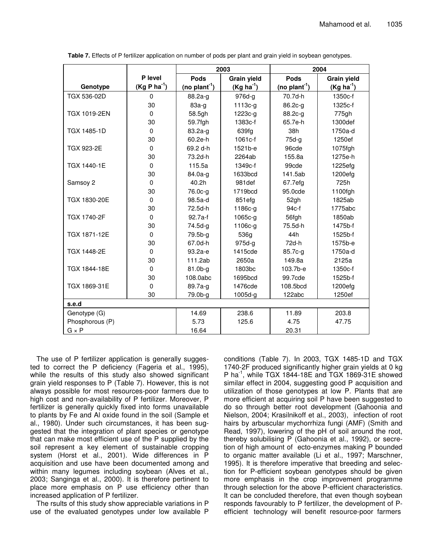|                     |               | 2003                      |                |                           | 2004               |
|---------------------|---------------|---------------------------|----------------|---------------------------|--------------------|
|                     | P level       | Pods                      | Grain yield    | Pods                      | <b>Grain yield</b> |
| Genotype            | $(Kg P ha-1)$ | (no plant <sup>-1</sup> ) | $(Kg ha^{-1})$ | (no plant <sup>-1</sup> ) | $(Kg ha^{-1})$     |
| TGX 536-02D         | $\Omega$      | 88.2a-q                   | $976d-g$       | 70.7d-h                   | 1350c-f            |
|                     | 30            | $83a-g$                   | $1113c-g$      | $86.2c-g$                 | 1325c-f            |
| <b>TGX 1019-2EN</b> | $\mathbf{0}$  | 58.5gh                    | 1223c-g        | 88.2c-g                   | 775gh              |
|                     | 30            | 59.7fgh                   | 1383c-f        | 65.7e-h                   | 1300def            |
| TGX 1485-1D         | $\Omega$      | $83.2a-g$                 | 639fg          | 38h                       | 1750a-d            |
|                     | 30            | 60.2e-h                   | 1061c-f        | $75d-g$                   | 1250ef             |
| TGX 923-2E          | $\Omega$      | 69.2 d-h                  | 1521b-e        | 96cde                     | 1075fgh            |
|                     | 30            | 73.2d-h                   | 2264ab         | 155.8a                    | 1275e-h            |
| TGX 1440-1E         | $\Omega$      | 115.5a                    | 1349c-f        | 99cde                     | 1225efg            |
|                     | 30            | $84.0a-g$                 | 1633bcd        | 141.5ab                   | 1200efg            |
| Samsoy 2            | $\mathbf{0}$  | 40.2h                     | 981def         | 67.7efg                   | 725h               |
|                     | 30            | 76.0c-g                   | 1719bcd        | 95.0cde                   | 1100fgh            |
| TGX 1830-20E        | $\mathbf{0}$  | 98.5a-d                   | 851efg         | 52gh                      | 1825ab             |
|                     | 30            | 72.5d-h                   | 1186c-g        | $94c-f$                   | 1775abc            |
| <b>TGX 1740-2F</b>  | $\mathbf{0}$  | $92.7a-f$                 | 1065c-g        | 56fgh                     | 1850ab             |
|                     | 30            | 74.5d-g                   | 1106c-g        | 75.5d-h                   | 1475b-f            |
| TGX 1871-12E        | $\mathbf{0}$  | 79.5b-g                   | 536g           | 44h                       | 1525b-f            |
|                     | 30            | 67.0d-h                   | $975d-g$       | 72d-h                     | 1575b-e            |
| TGX 1448-2E         | $\mathbf{0}$  | 93.2a-e                   | 1415cde        | 85.7c-g                   | 1750a-d            |
|                     | 30            | 111.2ab                   | 2650a          | 149.8a                    | 2125a              |
| TGX 1844-18E        | $\mathbf{0}$  | $81.0b-g$                 | 1803bc         | $103.7b-e$                | 1350c-f            |
|                     | 30            | 108.0abc                  | 1695bcd        | 99.7cde                   | 1525b-f            |
| TGX 1869-31E        | $\Omega$      | $89.7a-g$                 | 1476cde        | 108.5bcd                  | 1200efg            |
|                     | 30            | 79.0b-g                   | 1005d-g        | 122abc                    | 1250ef             |
| s.e.d               |               |                           |                |                           |                    |
| Genotype (G)        |               | 14.69                     | 238.6          | 11.89                     | 203.8              |
| Phosphorous (P)     |               | 5.73                      | 125.6          | 4.75                      | 47.75              |
| $G \times P$        |               | 16.64                     |                | 20.31                     |                    |

**Table 7.** Effects of P fertilizer application on number of pods per plant and grain yield in soybean genotypes.

The use of P fertilizer application is generally suggested to correct the P deficiency (Fageria et al., 1995), while the results of this study also showed significant grain yield responses to P (Table 7). However, this is not always possible for most resources-poor farmers due to high cost and non-availability of P fertilizer. Moreover, P fertilizer is generally quickly fixed into forms unavailable to plants by Fe and Al oxide found in the soil (Sample et al., 1980). Under such circumstances, it has been suggested that the integration of plant species or genotype that can make most efficient use of the P supplied by the soil represent a key element of sustainable cropping system (Horst et al., 2001). Wide differences in P acquisition and use have been documented among and within many legumes including soybean (Alves et al., 2003; Sanginga et al., 2000). It is therefore pertinent to place more emphasis on P use efficiency other than increased application of P fertilizer.

The rsults of this study show appreciable variations in P use of the evaluated genotypes under low available P conditions (Table 7). In 2003, TGX 1485-1D and TGX 1740-2F produced significantly higher grain yields at 0 kg P ha<sup>-1</sup>, while TGX 1844-18E and TGX 1869-31E showed similar effect in 2004, suggesting good P acquisition and utilization of those genotypes at low P. Plants that are more efficient at acquiring soil P have been suggested to do so through better root development (Gahoonia and Nielson, 2004; Krasilnikoff et al., 2003), infection of root hairs by arbuscular mychorrhiza fungi (AMF) (Smith and Read, 1997), lowering of the pH of soil around the root, thereby solubilising P (Gahoonia et al., 1992), or secretion of high amount of ecto-enzymes making P bounded to organic matter available (Li et al., 1997; Marschner, 1995). It is therefore imperative that breeding and selection for P-efficient soybean genotypes should be given more emphasis in the crop improvement programme through selection for the above P-efficient characteristics. It can be concluded therefore, that even though soybean responds favourably to P fertilizer, the development of Pefficient technology will benefit resource-poor farmers